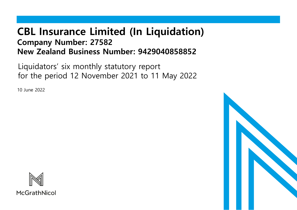# **CBL Insurance Limited (In Liquidation) Company Number: 27582 New Zealand Business Number: 9429040858852**

Liquidators' six monthly statutory report for the period 12 November 2021 to 11 May 2022

10 June 2022



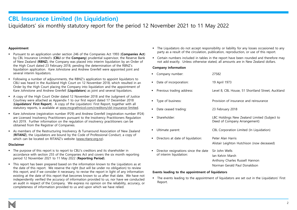### **CBL Insurance Limited (In Liquidation)**

### Liquidators' six monthly statutory report for the period 12 November 2021 to 11 May 2022

### **Appointment**

- Pursuant to an application under section 246 of the Companies Act 1993 (**Companies Act**) by CBL Insurance Limited's (**CBLI** or the **Company**) prudential supervisor, the Reserve Bank of New Zealand (**RBNZ**), the Company was placed into interim liquidation by an Order of the High Court dated 23 February 2018, pending the determination of the RBNZ's liquidation application. Kare Johnstone and Andrew Grenfell were appointed joint and several interim liquidators.
- Following a number of adjournments, the RBNZ's application to appoint liquidators to CBLI was heard in the Auckland High Court on 12 November 2018, which resulted in an Order by the High Court placing the Company into liquidation and the appointment of Kare Johnstone and Andrew Grenfell (**Liquidators**) as joint and several liquidators.
- A copy of the High Court Order dated 12 November 2018 and the Judgment of Justice Courtney were attached as Appendix 1 to our first report dated 17 December 2018 (**Liquidators' First Report**). A copy of the Liquidators' First Report, together with all statutory reports, is available at [www.mcgrathnicol.com/creditors/cbl-insurance-limited.](http://www.mcgrathnicol.com/creditors/cbl-insurance-limited)
- Kare Johnstone (registration number IP29) and Andrew Grenfell (registration number IP24) are Licensed Insolvency Practitioners pursuant to the Insolvency Practitioners Regulation Act 2019. Further information on the regulation of insolvency practitioners can be obtained from the Registrar of Companies.
- As members of the Restructuring Insolvency & Turnaround Association of New Zealand (**RITANZ**), the Liquidators are bound by the Code of Professional Conduct, a copy of which can be located on RITANZ's website ([www.ritanz.org.nz\)](http://www.ritanz.org.nz/).

#### **Disclaimer**

- The purpose of this report is to report to CBLI's creditors and its shareholder in accordance with section 255 of the Companies Act and covers the six month reporting period 12 November 2021 to 11 May 2022 (**Reporting Period**).
- This report has been prepared based on the information known to the Liquidators as at the date of this report. We reserve the right (but will be under no obligation) to review this report, and if we consider it necessary, to revise the report in light of any information existing at the date of this report that becomes known to us after that date. We have not independently verified the accuracy of information provided to us, nor have we conducted an audit in respect of the Company. We express no opinion on the reliability, accuracy, or completeness of information provided to us and upon which we have relied.
- The Liquidators do not accept responsibility or liability for any losses occasioned to any party as a result of the circulation, publication, reproduction, or use of this report.
- **•** Certain numbers included in tables in the report have been rounded and therefore may not add exactly. Unless otherwise stated, all amounts are in New Zealand dollars.

#### **Company information**

| Company number:                                                 | 27582                                                                                                |
|-----------------------------------------------------------------|------------------------------------------------------------------------------------------------------|
| Date of incorporation:                                          | 19 April 1973                                                                                        |
| Previous trading address:                                       | Level 8, CBL House, 51 Shortland Street, Auckland                                                    |
| Type of business:                                               | Provision of insurance and reinsurance                                                               |
| Date ceased trading:                                            | 23 February 2018                                                                                     |
| Shareholder:                                                    | LBC Holdings New Zealand Limited (Subject to<br>Deed of Company Arrangement)                         |
| Ultimate parent:                                                | CBL Corporation Limited (In Liquidation)                                                             |
| Directors at date of liquidation:                               | Peter Alan Harris<br>Alistair Leighton Hutchison (now deceased)                                      |
| Director resignations since the date<br>of interim liquidation: | Sir John Wells<br>Jan Kelvin Marsh<br>Anthony Charles Russell Hannon<br>Norman Gerald Paul Donaldson |

#### **Events leading to the appointment of liquidators**

▪ The events leading to the appointment of liquidators are set out in the Liquidators' First Report.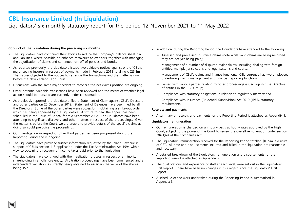### **CBL Insurance Limited (In Liquidation)**

### Liquidators' six monthly statutory report for the period 12 November 2021 to 11 May 2022

### **Conduct of the liquidation during the preceding six months**

- The Liquidators have continued their efforts to reduce the Company's balance sheet risk and liabilities, where possible, to enhance recoveries to creditors, together with managing the adjudication of claims and continued run-off of policies and bonds.
- As reported previously, the Liquidators issued two voidable notices against one of CBLI's major ceding insurers in respect of payments made in February 2018 totalling c.€25.4m. The insurer objected to the notices to set aside the transactions and the matter is now before the New Zealand High Court.
- **•** Discussions with the same major cedant to reconcile the net claims position are ongoing.
- Other potential voidable transactions have been reviewed and the merits of whether legal action should be pursued are currently under consideration.
- As previously reported, the Liquidators filed a Statement of Claim against CBLI's Directors and other parties on 20 December 2019. Statement of Defences have been filed by all the Directors. Some of the other parties were successful in obtaining a strike-out order, which has being appealed by the Liquidators. A fixture to hear the appeal has been scheduled in the Court of Appeal for mid September 2022. The Liquidators have been attending to significant discovery and other matters in respect of the proceedings. Given the matter is before the Court, we are unable to provide details of the specific claims as doing so could prejudice the proceedings.
- Our investigation in respect of other third parties has been progressed during the Reporting Period and is ongoing.
- The Liquidators have provided further information requested by the Inland Revenue in support of CBLI's section 113 application under the Tax Administration Act 1994 with a view to obtaining a recovery of income taxes paid prior to the liquidation.
- **·** The Liquidators have continued with their realisation process in respect of a minority shareholding in an offshore entity. Arbitration proceedings have been commenced and an independent valuation is currently being obtained to ascertain the value of the shares being sold.
- In addition, during the Reporting Period, the Liquidators have attended to the following:
	- − Assessed and processed insurance claims (note while valid claims are being recorded they are not yet being paid);
	- − Management of a number of disputed major claims, including dealing with foreign entities, multiple jurisdictions and legal systems and courts;
	- − Management of CBLI's claims and finance functions. CBLI currently has two employees undertaking claims management and financial reporting functions;
	- − Liaised with various parties relating to other proceedings issued against the Directors of entities in the CBL Group;
	- − Compliance with statutory obligations in relation to regulatory matters; and
	- − Compliance with Insurance (Prudential Supervision) Act 2010 (**IPSA**) statutory requirements.

#### **Receipts and payments**

▪ A summary of receipts and payments for the Reporting Period is attached as Appendix 1.

#### **Liquidators' remuneration**

- Our remuneration is charged on an hourly basis at hourly rates approved by the High Court, subject to the power of the Court to review the overall remuneration under section 284(1)(e) of the Companies Act.
- The Liquidators' remuneration received for the Reporting Period totalled \$0.59m, exclusive of GST. All time and disbursements incurred and billed in the liquidation are reasonable and necessary.
- A detailed breakdown of the Liquidators' remuneration and disbursements for the Reporting Period is attached as Appendix 2.
- The qualifications and experience of staff at each level, were set out in the Liquidators' First Report. There have been no changes in this regard since the Liquidators' First Report.
- A schedule of the work undertaken during the Reporting Period is summarised in Appendix 3.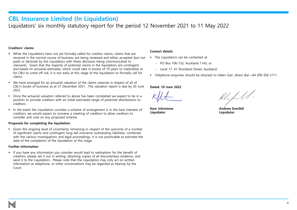### **CBL Insurance Limited (In Liquidation)**

Liquidators' six monthly statutory report for the period 12 November 2021 to 11 May 2022

### **Creditors' claims**

- **•** While the Liquidators have not yet formally called for creditor claims, claims that are received in the normal course of business are being reviewed and either accepted (but not paid) or declined by the Liquidators with these decisions being communicated to claimants. Given that the majority of potential claims in the liquidation are contingent and based on actuarial estimates, which could take in excess of 10 years to materialise or for CBLI to come off risk, it is too early at this stage of the liquidation to formally call for claims.
- We have arranged for an actuarial valuation of the claims reserves in respect of all of CBLI's books of business as at 31 December 2021. The valuation report is due by 30 June 2022.
- **•** Once the actuarial valuation referred to above has been completed we expect to be in a position to provide creditors with an initial estimated range of potential distributions to creditors.
- In the event the Liquidators consider a scheme of arrangement is in the best interests of creditors, we would expect to convene a meeting of creditors to allow creditors to consider and vote on any proposed scheme.

#### **Proposals for completing the liquidation**

▪ Given the ongoing level of uncertainty remaining in respect of the outcome of a number of significant claims and contingent long-tail insurance outstanding liabilities, combined with the various investigations and legal proceedings, it is not practicable to estimate the date of the completion of the liquidation at this stage.

#### **Further information**

▪ If you have any information you consider would lead to realisations for the benefit of creditors, please set it out in writing, attaching copies of all documentary evidence, and send it to the Liquidators. Please note that the Liquidators may only act on written information as telephone, or other conversations may be regarded as hearsay by the Court.

### **Contact details**

- The Liquidators can be contacted at:
	- − PO Box 106-733, Auckland 1143; or
	- − Level 17, 41 Shortland Street, Auckland.
- Telephone enquiries should be directed to Helen Gair, direct dial +64 (09) 926 5111.

### **Dated: 10 June 2022**

**Liquidator Liquidator**

**Kare Johnstone Andrew Grenfell**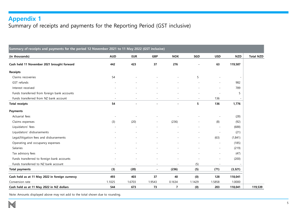## **Appendix 1**

Summary of receipts and payments for the Reporting Period (GST inclusive)

| Summary of receipts and payments for the period 12 November 2021 to 11 May 2022 (GST inclusive) |                          |            |                          |                |        |                          |            |                  |
|-------------------------------------------------------------------------------------------------|--------------------------|------------|--------------------------|----------------|--------|--------------------------|------------|------------------|
| (in thousands)                                                                                  | <b>AUD</b>               | <b>EUR</b> | <b>GBP</b>               | <b>NOK</b>     | SGD    | <b>USD</b>               | <b>NZD</b> | <b>Total NZD</b> |
| Cash held 11 November 2021 brought forward                                                      | 442                      | 423        | 37                       | 276            |        | 63                       | 119,587    |                  |
| Receipts                                                                                        |                          |            |                          |                |        |                          |            |                  |
| Claims recoveries                                                                               | 54                       |            |                          |                | 5      | $\overline{\phantom{a}}$ |            |                  |
| GST refunds                                                                                     |                          |            |                          |                |        |                          | 982        |                  |
| Interest received                                                                               |                          |            |                          |                |        | $\overline{\phantom{a}}$ | 789        |                  |
| Funds transferred from foreign bank accounts                                                    |                          |            |                          |                |        |                          | 5          |                  |
| Funds transferred from NZ bank account                                                          |                          |            |                          |                |        | 136                      |            |                  |
| <b>Total receipts</b>                                                                           | 54                       |            |                          | $\overline{a}$ | 5      | 136                      | 1,776      |                  |
| <b>Payments</b>                                                                                 |                          |            |                          |                |        |                          |            |                  |
| Actuarial fees                                                                                  | ٠                        |            | $\sim$                   |                |        |                          | (28)       |                  |
| Claims expenses                                                                                 | (3)                      | (20)       | $\blacksquare$           | (236)          |        | (8)                      | (92)       |                  |
| Liquidators' fees                                                                               |                          |            | $\sim$                   |                |        |                          | (688)      |                  |
| Liquidators' disbursements                                                                      |                          |            |                          |                |        |                          | (21)       |                  |
| Legal/litigation fees and disbursements                                                         |                          |            |                          |                |        | (63)                     | (1,841)    |                  |
| Operating and occupancy expenses                                                                |                          |            |                          |                |        | $\overline{\phantom{a}}$ | (185)      |                  |
| Salaries                                                                                        |                          |            |                          |                |        |                          | (219)      |                  |
| Tax advisory fees                                                                               |                          |            |                          |                |        |                          | (47)       |                  |
| Funds transferred to foreign bank accounts                                                      |                          |            |                          |                |        | $\overline{\phantom{a}}$ | (200)      |                  |
| Funds transferred to NZ bank account                                                            | $\overline{\phantom{a}}$ |            | $\overline{\phantom{a}}$ | ÷,             | (5)    | $\overline{\phantom{a}}$ |            |                  |
| <b>Total payments</b>                                                                           | (3)                      | (20)       | $\overline{\phantom{a}}$ | (236)          | (5)    | (71)                     | (3, 321)   |                  |
| Cash held as at 11 May 2022 in foreign currency                                                 | 493                      | 403        | 37                       | 40             | (0)    | 128                      | 118,041    |                  |
| Conversion rate                                                                                 | 1.1025                   | 1.6703     | 1.9543                   | 0.1634         | 1.1429 | 1.5858                   | 1.0000     |                  |
| Cash held as at 11 May 2022 in NZ dollars                                                       | 544                      | 673        | 73                       | 7              | (0)    | 203                      | 118,041    | 119,539          |

Note: Amounts displayed above may not add to the total shown due to rounding.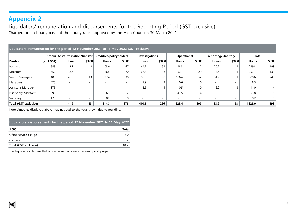### **Appendix 2**

Liquidators' remuneration and disbursements for the Reporting Period (GST exclusive) Charged on an hourly basis at the hourly rates approved by the High Court on 30 March 2021

| Liquidators' remuneration for the period 12 November 2021 to 11 May 2022 (GST exclusive) |              |                                    |                          |                         |        |                       |        |              |                          |                            |                          |              |                |
|------------------------------------------------------------------------------------------|--------------|------------------------------------|--------------------------|-------------------------|--------|-----------------------|--------|--------------|--------------------------|----------------------------|--------------------------|--------------|----------------|
|                                                                                          |              | \$/hour Asset realisation/transfer |                          | Creditors/policyholders |        | <b>Investigations</b> |        | Operational  |                          | <b>Reporting/Statutory</b> |                          | Total        |                |
| Position                                                                                 | $(excl$ GST) | <b>Hours</b>                       | \$'000                   | <b>Hours</b>            | \$'000 | <b>Hours</b>          | \$'000 | <b>Hours</b> | \$'000                   | <b>Hours</b>               | \$'000                   | <b>Hours</b> | \$'000         |
| Partners                                                                                 | 645          | 12.7                               | 8                        | 103.9                   | 67     | 144.7                 | 93     | 18.3         | 12                       | 20.2                       | 13                       | 299.8        | 193            |
| Directors                                                                                | 550          | 2.6                                |                          | 126.5                   | 70     | 68.3                  | 38     | 52.1         | 29                       | 2.6                        |                          | 252.1        | 139            |
| Senior Managers                                                                          | 485          | 26.6                               | 13                       | 77.4                    | 38     | 186.0                 | 90     | 106.4        | 52                       | 104.2                      | 51                       | 500.6        | 243            |
| Managers                                                                                 | 425          |                                    | $\overline{\phantom{0}}$ |                         |        | 7.9                   |        | 0.6          |                          |                            | -                        | 8.5          |                |
| Assistant Manager                                                                        | 375          |                                    | $\overline{\phantom{0}}$ |                         |        | 3.6                   |        | 0.5          |                          | 6.9                        |                          | 11.0         |                |
| Insolvency Assistant                                                                     | 295          |                                    | $\overline{\phantom{0}}$ | 6.3                     |        |                       |        | 47.5         | 14                       |                            | $\overline{\phantom{0}}$ | 53.8         | 16             |
| Secretary                                                                                | 170          |                                    | $\overline{\phantom{0}}$ | 0.2                     |        |                       |        |              | $\overline{\phantom{a}}$ |                            |                          | 0.2          | 0 <sup>1</sup> |
| Total (GST exclusive)                                                                    |              | 41.9                               | 23                       | 314.3                   | 176    | 410.5                 | 226    | 225.4        | 107                      | 133.9                      | 68                       | 1.126.0      | 598            |

Note: Amounts displayed above may not add to the total shown due to rounding.

|  | Liquidators' disbursements for the period 12 November 2021 to 11 May 2022 |  |  |  |  |  |  |
|--|---------------------------------------------------------------------------|--|--|--|--|--|--|
|--|---------------------------------------------------------------------------|--|--|--|--|--|--|

| \$'000                | Total |
|-----------------------|-------|
| Office service charge | 18.0  |
| Couriers              | 0.2   |
| Total (GST exclusive) | 18.2  |

The Liquidators declare that all disbursements were necessary and proper.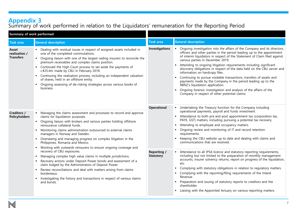# **Appendix 3**

### Summary of work performed in relation to the Liquidators' remuneration for the Reporting Period

| Summary of work performed                                                                                                                                                                                                                                                                                                                                                                                                                                                                                                                                                                                               |                                                                                                                                                                                                                                                                                                                                                                                                                                                                                          |                                        |                                                                                                                                                                                                                                                                                                                                                                                                                                                                                                                                                                                                                                                                                                                                                          |  |  |
|-------------------------------------------------------------------------------------------------------------------------------------------------------------------------------------------------------------------------------------------------------------------------------------------------------------------------------------------------------------------------------------------------------------------------------------------------------------------------------------------------------------------------------------------------------------------------------------------------------------------------|------------------------------------------------------------------------------------------------------------------------------------------------------------------------------------------------------------------------------------------------------------------------------------------------------------------------------------------------------------------------------------------------------------------------------------------------------------------------------------------|----------------------------------------|----------------------------------------------------------------------------------------------------------------------------------------------------------------------------------------------------------------------------------------------------------------------------------------------------------------------------------------------------------------------------------------------------------------------------------------------------------------------------------------------------------------------------------------------------------------------------------------------------------------------------------------------------------------------------------------------------------------------------------------------------------|--|--|
| <b>Task area</b>                                                                                                                                                                                                                                                                                                                                                                                                                                                                                                                                                                                                        | <b>General description</b>                                                                                                                                                                                                                                                                                                                                                                                                                                                               | <b>Task area</b>                       | <b>General description</b>                                                                                                                                                                                                                                                                                                                                                                                                                                                                                                                                                                                                                                                                                                                               |  |  |
| • Dealing with residual issues in respect of assigned assets included in<br>Asset<br>one of the completed commutations.<br>realisation /<br><b>Transfers</b><br>• Ongoing liaison with one of the largest ceding insurers to reconcile the<br>premium receivables and complex claims position.<br>• Continued the High Court process to set aside the payments of<br>c.€25.4m made by CBLI in February 2018.<br>• Continuing the realisation process, including an independent valuation<br>of shares, held in an offshore entity.<br>• Ongoing assessing of de-risking strategies across various books of<br>business. |                                                                                                                                                                                                                                                                                                                                                                                                                                                                                          | Investigations                         | Ongoing investigation into the affairs of the Company and its directors,<br>officers and other parties in the period leading up to the appointment<br>of interim liquidators in respect of the Statement of Claim filed against<br>various parties in December 2019.<br>Attending to ongoing litigation requirements including significant<br>discovery obligations in respect of the data held on the CBLI server and<br>information on hardcopy files.<br>Continuing to pursue voidable transactions, transfers of assets and<br>payments made by the Company in the period leading up to the<br>RBNZ's liquidation application.<br>Ongoing forensic investigation and analysis of the affairs of the<br>Company in respect of other potential claims. |  |  |
| Creditors /<br><b>Policyholders</b>                                                                                                                                                                                                                                                                                                                                                                                                                                                                                                                                                                                     | Managing the claims assessment and processes to record and approve<br>claims for liquidation purposes.<br>Ongoing liaison with brokers and various parties holding offshore<br>reinsurance collateral funds.<br>Monitoring claims administration outsourced to external claims<br>managers in Norway and Sweden.<br>Overseeing and managing progress on complex litigation in the<br>Philippines, Romania and Mexico.<br>Working with outwards reinsurers to ensure ongoing coverage and | Operational                            | • Undertaking the Treasury function for the Company including<br>operational payments, payroll and funds investment.<br>Attendance to both pre and post appointment tax (corporation tax,<br>PAYE, GST) matters, including pursuing a potential tax recovery.<br>Attending to employee and occupancy matters.<br>Ongoing review and monitoring of IT and record retention<br>requirements.<br>Keeping the CBLI website up to date and dealing with claims and<br>communications that are received.                                                                                                                                                                                                                                                       |  |  |
|                                                                                                                                                                                                                                                                                                                                                                                                                                                                                                                                                                                                                         | recovery of CBLI exposures.<br>Managing complex high value claims in multiple jurisdictions.<br>Recovery actions under Deposit Power bonds and assessment of a<br>claim lodged by the Administrators of Deposit Power.<br>Review reconciliations and deal with matters arising from claims<br>bordereaux.<br>Investigating the history and transactions in respect of various claims<br>and bonds.                                                                                       | <b>Reporting /</b><br><b>Statutory</b> | Attendance to all IPSA licence and statutory reporting requirements,<br>including but not limited to the preparation of monthly management<br>accounts, insurer solvency returns, report on progress of the liquidation,<br>etc.<br>Complying with statutory obligations in relation to regulatory matters.<br>• Complying with the reporting/filing requirements of the Inland<br>Revenue.<br>• Preparation and issuing of statutory reports to creditors and the<br>shareholder.<br>• Liaising with the Appointed Actuary on various reporting matters.                                                                                                                                                                                                |  |  |